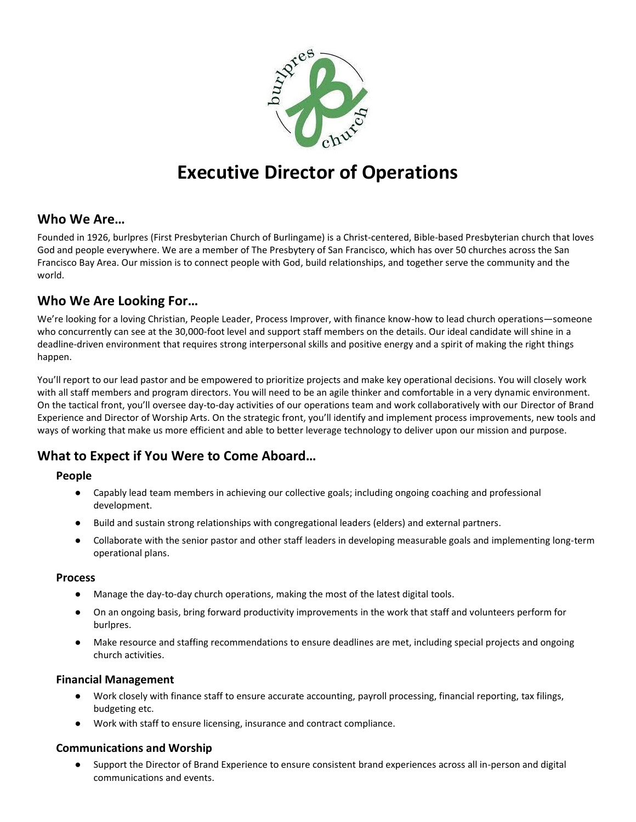

# **Executive Director of Operations**

## **Who We Are…**

Founded in 1926, burlpres (First Presbyterian Church of Burlingame) is a Christ-centered, Bible-based Presbyterian church that loves God and people everywhere. We are a member of The Presbytery of San Francisco, which has over 50 churches across the San Francisco Bay Area. Our mission is to connect people with God, build relationships, and together serve the community and the world.

# **Who We Are Looking For…**

We're looking for a loving Christian, People Leader, Process Improver, with finance know-how to lead church operations—someone who concurrently can see at the 30,000-foot level and support staff members on the details. Our ideal candidate will shine in a deadline-driven environment that requires strong interpersonal skills and positive energy and a spirit of making the right things happen.

You'll report to our lead pastor and be empowered to prioritize projects and make key operational decisions. You will closely work with all staff members and program directors. You will need to be an agile thinker and comfortable in a very dynamic environment. On the tactical front, you'll oversee day-to-day activities of our operations team and work collaboratively with our Director of Brand Experience and Director of Worship Arts. On the strategic front, you'll identify and implement process improvements, new tools and ways of working that make us more efficient and able to better leverage technology to deliver upon our mission and purpose.

# **What to Expect if You Were to Come Aboard…**

## **People**

- Capably lead team members in achieving our collective goals; including ongoing coaching and professional development.
- Build and sustain strong relationships with congregational leaders (elders) and external partners.
- Collaborate with the senior pastor and other staff leaders in developing measurable goals and implementing long-term operational plans.

## **Process**

- Manage the day-to-day church operations, making the most of the latest digital tools.
- On an ongoing basis, bring forward productivity improvements in the work that staff and volunteers perform for burlpres.
- Make resource and staffing recommendations to ensure deadlines are met, including special projects and ongoing church activities.

## **Financial Management**

- Work closely with finance staff to ensure accurate accounting, payroll processing, financial reporting, tax filings, budgeting etc.
- Work with staff to ensure licensing, insurance and contract compliance.

## **Communications and Worship**

● Support the Director of Brand Experience to ensure consistent brand experiences across all in-person and digital communications and events.